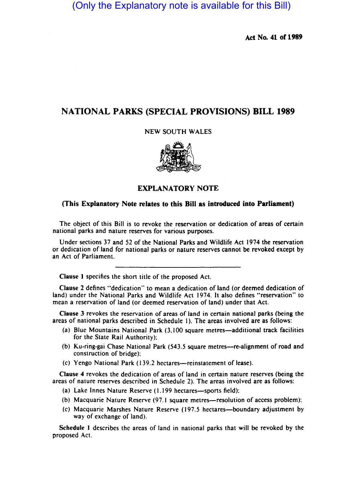(Only the Explanatory note is available for this Bill)

Act No. 41 of 1989

## NATIONAL PARKS (SPECIAL PROVISIONS) BILL 1989

NEW SOUTH WALES



## EXPLANATORY NOTE

## (This Explanatory Note relates to this Bill as introduced into Parliament)

The object of this Bill is to revoke the reservation or dedication of areas of certain national parks and nature reserves for various purposes.

Under sections 37 and 52 of the National Parks and Wildlife Act 1974 the reservation or dedication of land for national parks or nature reserves cannot be revoked except by an Act of Parliament.

Clause I specifies the short title of the proposed Act.

Clause 2 defines "dedication" to mean a dedication of land (or deemed dedication of land) under the National Parks and Wildlife Act 1974. It also defines "reservation" to mean a reservation of land (or deemed reservation of land) under that Act.

Clause 3 revokes the reservation of areas of land in certain national parks (being the areas of national parks described in Schedule I). The areas involved are as follows:

- (a) Blue Mountains National Park (3,100 square metres-additional track facilities for the State Rail Authority);
- (b) Ku-ring-gai Chase National Park (543.5 square metres-re-alignment of road and construction of bridge):
- (c) Yengo National Park (139.2 hectares-reinstatement of lease).

Clause 4 revokes the dedication of areas of land in certain nature reserves (being the areas of nature reserves described in Schedule 2). The areas involved are as follows:

- (a) Lake Innes Nature Reserve (1.199 hectares-sports field);
- (b) Macquarie Nature Reserve (97.1 square metres—resolution of access problem);
- (c) Macquarie Marshes Nature Reserve (197.5 hectares-boundary adjustment by way of exchange of land).

Schedule I describes the areas of land in national parks that will be revoked by the proposed Act.